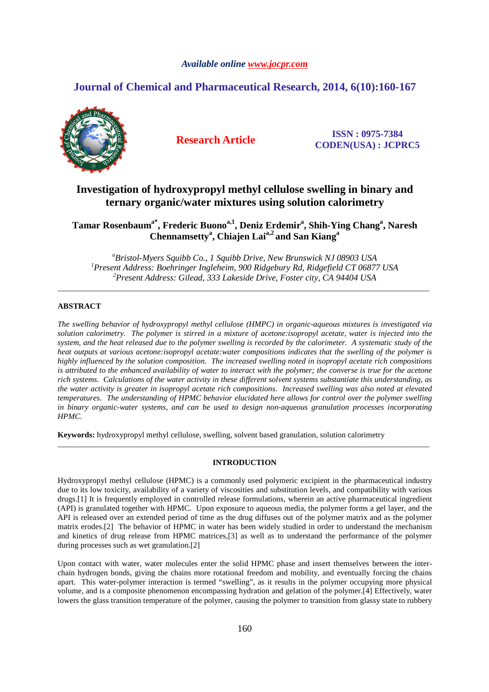## *Available online www.jocpr.com*

# **Journal of Chemical and Pharmaceutical Research, 2014, 6(10):160-167**



**Research Article ISSN : 0975-7384 CODEN(USA) : JCPRC5**

# **Investigation of hydroxypropyl methyl cellulose swelling in binary and ternary organic/water mixtures using solution calorimetry**

**Tamar Rosenbauma\*, Frederic Buonoa,1, Deniz Erdemir<sup>a</sup> , Shih-Ying Chang<sup>a</sup> , Naresh Chennamsetty<sup>a</sup> , Chiajen Laia,2 and San Kiang<sup>a</sup>**

*<sup>a</sup>Bristol-Myers Squibb Co., 1 Squibb Drive, New Brunswick NJ 08903 USA <sup>1</sup>Present Address: Boehringer Ingleheim, 900 Ridgebury Rd, Ridgefield CT 06877 USA <sup>2</sup>Present Address: Gilead, 333 Lakeside Drive, Foster city, CA 94404 USA* 

*\_\_\_\_\_\_\_\_\_\_\_\_\_\_\_\_\_\_\_\_\_\_\_\_\_\_\_\_\_\_\_\_\_\_\_\_\_\_\_\_\_\_\_\_\_\_\_\_\_\_\_\_\_\_\_\_\_\_\_\_\_\_\_\_\_\_\_\_\_\_\_\_\_\_\_\_\_\_\_\_\_\_\_\_\_\_\_\_\_\_\_\_\_* 

## **ABSTRACT**

*The swelling behavior of hydroxypropyl methyl cellulose (HMPC) in organic-aqueous mixtures is investigated via solution calorimetry. The polymer is stirred in a mixture of acetone:isopropyl acetate, water is injected into the system, and the heat released due to the polymer swelling is recorded by the calorimeter. A systematic study of the heat outputs at various acetone:isopropyl acetate:water compositions indicates that the swelling of the polymer is highly influenced by the solution composition. The increased swelling noted in isopropyl acetate rich compositions is attributed to the enhanced availability of water to interact with the polymer; the converse is true for the acetone rich systems. Calculations of the water activity in these different solvent systems substantiate this understanding, as the water activity is greater in isopropyl acetate rich compositions. Increased swelling was also noted at elevated temperatures. The understanding of HPMC behavior elucidated here allows for control over the polymer swelling in binary organic-water systems, and can be used to design non-aqueous granulation processes incorporating HPMC.* 

**Keywords:** hydroxypropyl methyl cellulose, swelling, solvent based granulation, solution calorimetry

## **INTRODUCTION**

*\_\_\_\_\_\_\_\_\_\_\_\_\_\_\_\_\_\_\_\_\_\_\_\_\_\_\_\_\_\_\_\_\_\_\_\_\_\_\_\_\_\_\_\_\_\_\_\_\_\_\_\_\_\_\_\_\_\_\_\_\_\_\_\_\_\_\_\_\_\_\_\_\_\_\_\_\_\_\_\_\_\_\_\_\_\_\_\_\_\_\_\_\_* 

Hydroxypropyl methyl cellulose (HPMC) is a commonly used polymeric excipient in the pharmaceutical industry due to its low toxicity, availability of a variety of viscosities and substitution levels, and compatibility with various drugs.[1] It is frequently employed in controlled release formulations, wherein an active pharmaceutical ingredient (API) is granulated together with HPMC. Upon exposure to aqueous media, the polymer forms a gel layer, and the API is released over an extended period of time as the drug diffuses out of the polymer matrix and as the polymer matrix erodes.[2] The behavior of HPMC in water has been widely studied in order to understand the mechanism and kinetics of drug release from HPMC matrices,[3] as well as to understand the performance of the polymer during processes such as wet granulation.[2]

Upon contact with water, water molecules enter the solid HPMC phase and insert themselves between the interchain hydrogen bonds, giving the chains more rotational freedom and mobility, and eventually forcing the chains apart. This water-polymer interaction is termed "swelling", as it results in the polymer occupying more physical volume, and is a composite phenomenon encompassing hydration and gelation of the polymer.[4] Effectively, water lowers the glass transition temperature of the polymer, causing the polymer to transition from glassy state to rubbery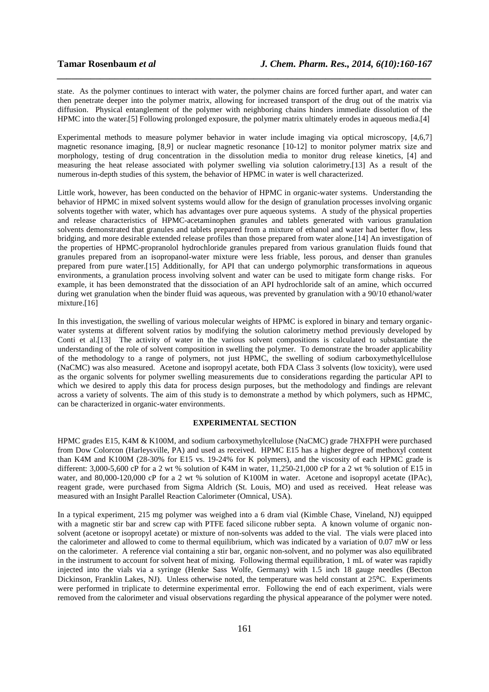state. As the polymer continues to interact with water, the polymer chains are forced further apart, and water can then penetrate deeper into the polymer matrix, allowing for increased transport of the drug out of the matrix via diffusion. Physical entanglement of the polymer with neighboring chains hinders immediate dissolution of the HPMC into the water.[5] Following prolonged exposure, the polymer matrix ultimately erodes in aqueous media.[4]

*\_\_\_\_\_\_\_\_\_\_\_\_\_\_\_\_\_\_\_\_\_\_\_\_\_\_\_\_\_\_\_\_\_\_\_\_\_\_\_\_\_\_\_\_\_\_\_\_\_\_\_\_\_\_\_\_\_\_\_\_\_\_\_\_\_\_\_\_\_\_\_\_\_\_\_\_\_\_*

Experimental methods to measure polymer behavior in water include imaging via optical microscopy, [4,6,7] magnetic resonance imaging, [8,9] or nuclear magnetic resonance [10-12] to monitor polymer matrix size and morphology, testing of drug concentration in the dissolution media to monitor drug release kinetics, [4] and measuring the heat release associated with polymer swelling via solution calorimetry.[13] As a result of the numerous in-depth studies of this system, the behavior of HPMC in water is well characterized.

Little work, however, has been conducted on the behavior of HPMC in organic-water systems. Understanding the behavior of HPMC in mixed solvent systems would allow for the design of granulation processes involving organic solvents together with water, which has advantages over pure aqueous systems. A study of the physical properties and release characteristics of HPMC-acetaminophen granules and tablets generated with various granulation solvents demonstrated that granules and tablets prepared from a mixture of ethanol and water had better flow, less bridging, and more desirable extended release profiles than those prepared from water alone.[14] An investigation of the properties of HPMC-propranolol hydrochloride granules prepared from various granulation fluids found that granules prepared from an isopropanol-water mixture were less friable, less porous, and denser than granules prepared from pure water.[15] Additionally, for API that can undergo polymorphic transformations in aqueous environments, a granulation process involving solvent and water can be used to mitigate form change risks. For example, it has been demonstrated that the dissociation of an API hydrochloride salt of an amine, which occurred during wet granulation when the binder fluid was aqueous, was prevented by granulation with a 90/10 ethanol/water mixture.<sup>[16]</sup>

In this investigation, the swelling of various molecular weights of HPMC is explored in binary and ternary organicwater systems at different solvent ratios by modifying the solution calorimetry method previously developed by Conti et al.[13] The activity of water in the various solvent compositions is calculated to substantiate the understanding of the role of solvent composition in swelling the polymer. To demonstrate the broader applicability of the methodology to a range of polymers, not just HPMC, the swelling of sodium carboxymethylcellulose (NaCMC) was also measured. Acetone and isopropyl acetate, both FDA Class 3 solvents (low toxicity), were used as the organic solvents for polymer swelling measurements due to considerations regarding the particular API to which we desired to apply this data for process design purposes, but the methodology and findings are relevant across a variety of solvents. The aim of this study is to demonstrate a method by which polymers, such as HPMC, can be characterized in organic-water environments.

### **EXPERIMENTAL SECTION**

HPMC grades E15, K4M & K100M, and sodium carboxymethylcellulose (NaCMC) grade 7HXFPH were purchased from Dow Colorcon (Harleysville, PA) and used as received. HPMC E15 has a higher degree of methoxyl content than K4M and K100M (28-30% for E15 vs. 19-24% for K polymers), and the viscosity of each HPMC grade is different: 3,000-5,600 cP for a 2 wt % solution of K4M in water, 11,250-21,000 cP for a 2 wt % solution of E15 in water, and 80,000-120,000 cP for a 2 wt % solution of K100M in water. Acetone and isopropyl acetate (IPAc), reagent grade, were purchased from Sigma Aldrich (St. Louis, MO) and used as received. Heat release was measured with an Insight Parallel Reaction Calorimeter (Omnical, USA).

In a typical experiment, 215 mg polymer was weighed into a 6 dram vial (Kimble Chase, Vineland, NJ) equipped with a magnetic stir bar and screw cap with PTFE faced silicone rubber septa. A known volume of organic nonsolvent (acetone or isopropyl acetate) or mixture of non-solvents was added to the vial. The vials were placed into the calorimeter and allowed to come to thermal equilibrium, which was indicated by a variation of 0.07 mW or less on the calorimeter. A reference vial containing a stir bar, organic non-solvent, and no polymer was also equilibrated in the instrument to account for solvent heat of mixing. Following thermal equilibration, 1 mL of water was rapidly injected into the vials via a syringe (Henke Sass Wolfe, Germany) with 1.5 inch 18 gauge needles (Becton Dickinson, Franklin Lakes, NJ). Unless otherwise noted, the temperature was held constant at 25°C. Experiments were performed in triplicate to determine experimental error. Following the end of each experiment, vials were removed from the calorimeter and visual observations regarding the physical appearance of the polymer were noted.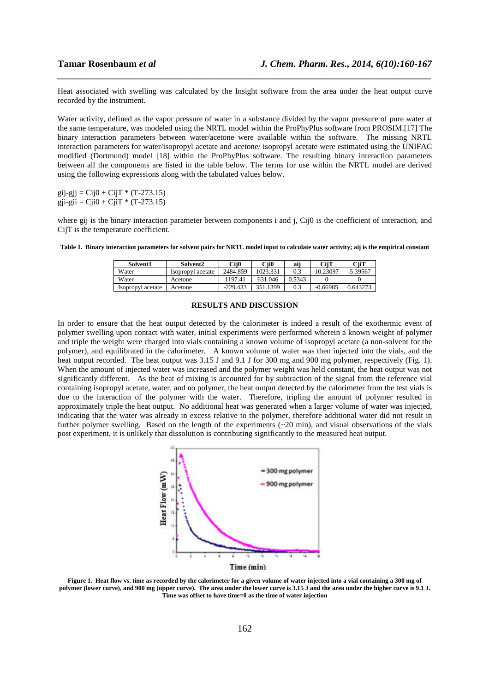Heat associated with swelling was calculated by the Insight software from the area under the heat output curve recorded by the instrument.

*\_\_\_\_\_\_\_\_\_\_\_\_\_\_\_\_\_\_\_\_\_\_\_\_\_\_\_\_\_\_\_\_\_\_\_\_\_\_\_\_\_\_\_\_\_\_\_\_\_\_\_\_\_\_\_\_\_\_\_\_\_\_\_\_\_\_\_\_\_\_\_\_\_\_\_\_\_\_*

Water activity, defined as the vapor pressure of water in a substance divided by the vapor pressure of pure water at the same temperature, was modeled using the NRTL model within the ProPhyPlus software from PROSIM.[17] The binary interaction parameters between water/acetone were available within the software. The missing NRTL interaction parameters for water/isopropyl acetate and acetone/ isopropyl acetate were estimated using the UNIFAC modified (Dortmund) model [18] within the ProPhyPlus software. The resulting binary interaction parameters between all the components are listed in the table below. The terms for use within the NRTL model are derived using the following expressions along with the tabulated values below.

 $gij-gjj = Cij0 + CijT * (T-273.15)$  $gji-gii = Ciii0 + CiiT * (T-273.15)$ 

where gij is the binary interaction parameter between components i and j, Cij0 is the coefficient of interaction, and CijT is the temperature coefficient.

|  |  |  |  |  | Table 1. Binary interaction parameters for solvent pairs for NRTL model input to calculate water activity; aij is the empirical constant |
|--|--|--|--|--|------------------------------------------------------------------------------------------------------------------------------------------|
|  |  |  |  |  |                                                                                                                                          |

| Solvent1          | Solvent2          | Cii0       | Cii0     | aii    | CiiT       | CiiT     |
|-------------------|-------------------|------------|----------|--------|------------|----------|
| Water             | Isopropyl acetate | 2484.859   | 1023.331 | 0.3    | 10.23097   | -5.39567 |
| Water             | Acetone           | 197.41     | 631.046  | 0.5343 |            |          |
| Isopropyl acetate | Acetone           | $-229.433$ | .1399    | 0.3    | $-0.66985$ | 0.643273 |

#### **RESULTS AND DISCUSSION**

In order to ensure that the heat output detected by the calorimeter is indeed a result of the exothermic event of polymer swelling upon contact with water, initial experiments were performed wherein a known weight of polymer and triple the weight were charged into vials containing a known volume of isopropyl acetate (a non-solvent for the polymer), and equilibrated in the calorimeter. A known volume of water was then injected into the vials, and the heat output recorded. The heat output was 3.15 J and 9.1 J for 300 mg and 900 mg polymer, respectively (Fig. 1). When the amount of injected water was increased and the polymer weight was held constant, the heat output was not significantly different. As the heat of mixing is accounted for by subtraction of the signal from the reference vial containing isopropyl acetate, water, and no polymer, the heat output detected by the calorimeter from the test vials is due to the interaction of the polymer with the water. Therefore, tripling the amount of polymer resulted in approximately triple the heat output. No additional heat was generated when a larger volume of water was injected, indicating that the water was already in excess relative to the polymer, therefore additional water did not result in further polymer swelling. Based on the length of the experiments (~20 min), and visual observations of the vials post experiment, it is unlikely that dissolution is contributing significantly to the measured heat output.



**Figure 1. Heat flow vs. time as recorded by the calorimeter for a given volume of water injected into a vial containing a 300 mg of polymer (lower curve), and 900 mg (upper curve). The area under the lower curve is 3.15 J and the area under the higher curve is 9.1 J. Time was offset to have time=0 as the time of water injection**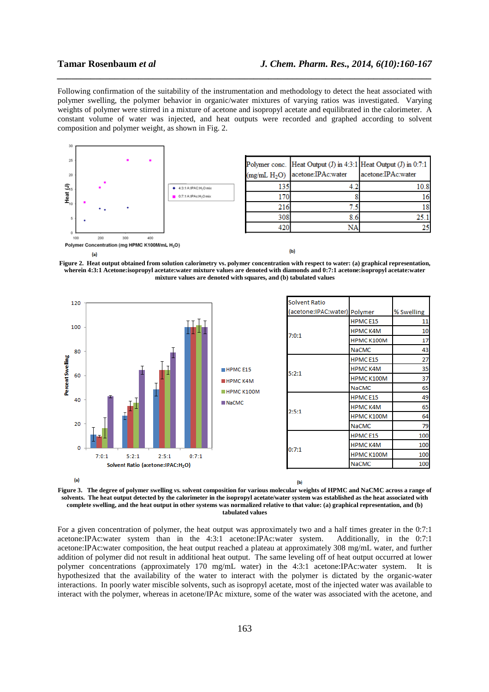Following confirmation of the suitability of the instrumentation and methodology to detect the heat associated with polymer swelling, the polymer behavior in organic/water mixtures of varying ratios was investigated. Varying weights of polymer were stirred in a mixture of acetone and isopropyl acetate and equilibrated in the calorimeter. A constant volume of water was injected, and heat outputs were recorded and graphed according to solvent composition and polymer weight, as shown in Fig. 2.

*\_\_\_\_\_\_\_\_\_\_\_\_\_\_\_\_\_\_\_\_\_\_\_\_\_\_\_\_\_\_\_\_\_\_\_\_\_\_\_\_\_\_\_\_\_\_\_\_\_\_\_\_\_\_\_\_\_\_\_\_\_\_\_\_\_\_\_\_\_\_\_\_\_\_\_\_\_\_*



(a)

**Figure 2. Heat output obtained from solution calorimetry vs. polymer concentration with respect to water: (a) graphical representation, wherein 4:3:1 Acetone:isopropyl acetate:water mixture values are denoted with diamonds and 0:7:1 acetone:isopropyl acetate:water mixture values are denoted with squares, and (b) tabulated values** 





For a given concentration of polymer, the heat output was approximately two and a half times greater in the 0:7:1 acetone:IPAc:water system than in the 4:3:1 acetone:IPAc:water system. Additionally, in the 0:7:1 acetone:IPAc:water composition, the heat output reached a plateau at approximately 308 mg/mL water, and further addition of polymer did not result in additional heat output. The same leveling off of heat output occurred at lower polymer concentrations (approximately 170 mg/mL water) in the 4:3:1 acetone:IPAc:water system. It is hypothesized that the availability of the water to interact with the polymer is dictated by the organic-water interactions. In poorly water miscible solvents, such as isopropyl acetate, most of the injected water was available to interact with the polymer, whereas in acetone/IPAc mixture, some of the water was associated with the acetone, and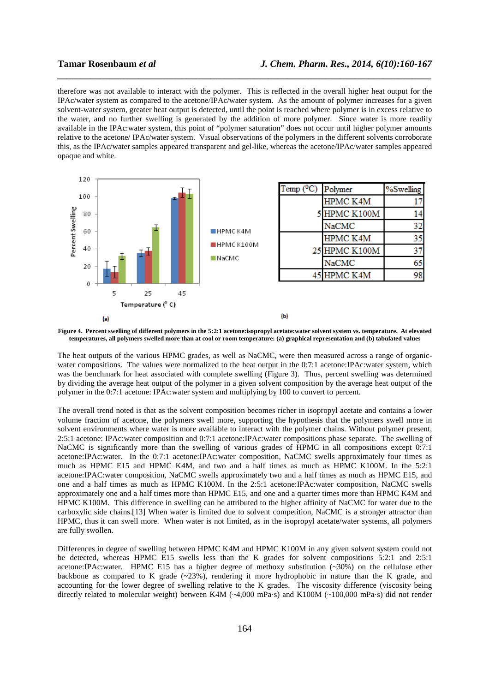therefore was not available to interact with the polymer. This is reflected in the overall higher heat output for the IPAc/water system as compared to the acetone/IPAc/water system. As the amount of polymer increases for a given solvent-water system, greater heat output is detected, until the point is reached where polymer is in excess relative to the water, and no further swelling is generated by the addition of more polymer. Since water is more readily available in the IPAc:water system, this point of "polymer saturation" does not occur until higher polymer amounts relative to the acetone/ IPAc/water system. Visual observations of the polymers in the different solvents corroborate this, as the IPAc/water samples appeared transparent and gel-like, whereas the acetone/IPAc/water samples appeared opaque and white.

*\_\_\_\_\_\_\_\_\_\_\_\_\_\_\_\_\_\_\_\_\_\_\_\_\_\_\_\_\_\_\_\_\_\_\_\_\_\_\_\_\_\_\_\_\_\_\_\_\_\_\_\_\_\_\_\_\_\_\_\_\_\_\_\_\_\_\_\_\_\_\_\_\_\_\_\_\_\_*



**Figure 4. Percent swelling of different polymers in the 5:2:1 acetone:isopropyl acetate:water solvent system vs. temperature. At elevated temperatures, all polymers swelled more than at cool or room temperature: (a) graphical representation and (b) tabulated values** 

The heat outputs of the various HPMC grades, as well as NaCMC, were then measured across a range of organicwater compositions. The values were normalized to the heat output in the 0:7:1 acetone:IPAc:water system, which was the benchmark for heat associated with complete swelling (Figure 3). Thus, percent swelling was determined by dividing the average heat output of the polymer in a given solvent composition by the average heat output of the polymer in the 0:7:1 acetone: IPAc:water system and multiplying by 100 to convert to percent.

The overall trend noted is that as the solvent composition becomes richer in isopropyl acetate and contains a lower volume fraction of acetone, the polymers swell more, supporting the hypothesis that the polymers swell more in solvent environments where water is more available to interact with the polymer chains. Without polymer present, 2:5:1 acetone: IPAc:water composition and 0:7:1 acetone:IPAc:water compositions phase separate. The swelling of NaCMC is significantly more than the swelling of various grades of HPMC in all compositions except 0:7:1 acetone:IPAc:water. In the 0:7:1 acetone:IPAc:water composition, NaCMC swells approximately four times as much as HPMC E15 and HPMC K4M, and two and a half times as much as HPMC K100M. In the 5:2:1 acetone:IPAC:water composition, NaCMC swells approximately two and a half times as much as HPMC E15, and one and a half times as much as HPMC K100M. In the 2:5:1 acetone:IPAc:water composition, NaCMC swells approximately one and a half times more than HPMC E15, and one and a quarter times more than HPMC K4M and HPMC K100M. This difference in swelling can be attributed to the higher affinity of NaCMC for water due to the carboxylic side chains.[13] When water is limited due to solvent competition, NaCMC is a stronger attractor than HPMC, thus it can swell more. When water is not limited, as in the isopropyl acetate/water systems, all polymers are fully swollen.

Differences in degree of swelling between HPMC K4M and HPMC K100M in any given solvent system could not be detected, whereas HPMC E15 swells less than the K grades for solvent compositions 5:2:1 and 2:5:1 acetone:IPAc:water. HPMC E15 has a higher degree of methoxy substitution (~30%) on the cellulose ether backbone as compared to K grade  $(-23%)$ , rendering it more hydrophobic in nature than the K grade, and accounting for the lower degree of swelling relative to the K grades. The viscosity difference (viscosity being directly related to molecular weight) between K4M (~4,000 mPa·s) and K100M (~100,000 mPa·s) did not render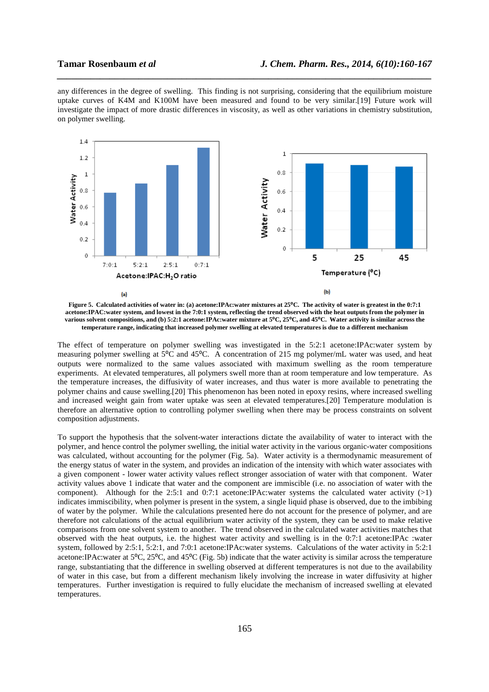any differences in the degree of swelling. This finding is not surprising, considering that the equilibrium moisture uptake curves of K4M and K100M have been measured and found to be very similar.[19] Future work will investigate the impact of more drastic differences in viscosity, as well as other variations in chemistry substitution, on polymer swelling.

*\_\_\_\_\_\_\_\_\_\_\_\_\_\_\_\_\_\_\_\_\_\_\_\_\_\_\_\_\_\_\_\_\_\_\_\_\_\_\_\_\_\_\_\_\_\_\_\_\_\_\_\_\_\_\_\_\_\_\_\_\_\_\_\_\_\_\_\_\_\_\_\_\_\_\_\_\_\_*



**Figure 5.** Calculated activities of water in: (a) acetone:IPAc:water mixtures at 25<sup>o</sup>C. The activity of water is greatest in the 0:7:1 **acetone:IPAC:water system, and lowest in the 7:0:1 system, reflecting the trend observed with the heat outputs from the polymer in various solvent compositions, and (b) 5:2:1 acetone:IPAc:water mixture at 5°C, 25°C, and 45°C. Water activity is similar across the temperature range, indicating that increased polymer swelling at elevated temperatures is due to a different mechanism** 

The effect of temperature on polymer swelling was investigated in the 5:2:1 acetone:IPAc:water system by measuring polymer swelling at  $5^{\circ}$ C and 45<sup>o</sup>C. A concentration of 215 mg polymer/mL water was used, and heat outputs were normalized to the same values associated with maximum swelling as the room temperature experiments. At elevated temperatures, all polymers swell more than at room temperature and low temperature. As the temperature increases, the diffusivity of water increases, and thus water is more available to penetrating the polymer chains and cause swelling.[20] This phenomenon has been noted in epoxy resins, where increased swelling and increased weight gain from water uptake was seen at elevated temperatures.[20] Temperature modulation is therefore an alternative option to controlling polymer swelling when there may be process constraints on solvent composition adjustments.

To support the hypothesis that the solvent-water interactions dictate the availability of water to interact with the polymer, and hence control the polymer swelling, the initial water activity in the various organic-water compositions was calculated, without accounting for the polymer (Fig. 5a). Water activity is a thermodynamic measurement of the energy status of water in the system, and provides an indication of the intensity with which water associates with a given component - lower water activity values reflect stronger association of water with that component. Water activity values above 1 indicate that water and the component are immiscible (i.e. no association of water with the component). Although for the 2:5:1 and 0:7:1 acetone:IPAc:water systems the calculated water activity  $(>1)$ indicates immiscibility, when polymer is present in the system, a single liquid phase is observed, due to the imbibing of water by the polymer. While the calculations presented here do not account for the presence of polymer, and are therefore not calculations of the actual equilibrium water activity of the system, they can be used to make relative comparisons from one solvent system to another. The trend observed in the calculated water activities matches that observed with the heat outputs, i.e. the highest water activity and swelling is in the 0:7:1 acetone:IPAc :water system, followed by 2:5:1, 5:2:1, and 7:0:1 acetone:IPAc:water systems. Calculations of the water activity in 5:2:1 acetone:IPAc:water at 5<sup>o</sup>C, 25<sup>o</sup>C, and 45<sup>o</sup>C (Fig. 5b) indicate that the water activity is similar across the temperature range, substantiating that the difference in swelling observed at different temperatures is not due to the availability of water in this case, but from a different mechanism likely involving the increase in water diffusivity at higher temperatures. Further investigation is required to fully elucidate the mechanism of increased swelling at elevated temperatures.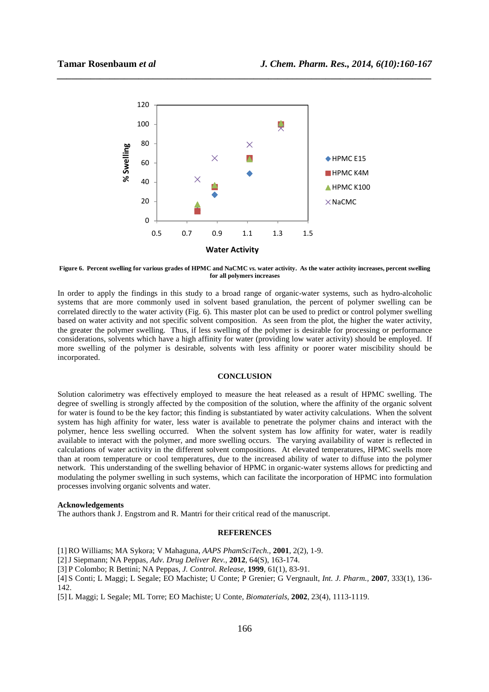

*\_\_\_\_\_\_\_\_\_\_\_\_\_\_\_\_\_\_\_\_\_\_\_\_\_\_\_\_\_\_\_\_\_\_\_\_\_\_\_\_\_\_\_\_\_\_\_\_\_\_\_\_\_\_\_\_\_\_\_\_\_\_\_\_\_\_\_\_\_\_\_\_\_\_\_\_\_\_*

**Figure 6. Percent swelling for various grades of HPMC and NaCMC** *vs.* **water activity. As the water activity increases, percent swelling for all polymers increases** 

In order to apply the findings in this study to a broad range of organic-water systems, such as hydro-alcoholic systems that are more commonly used in solvent based granulation, the percent of polymer swelling can be correlated directly to the water activity (Fig. 6). This master plot can be used to predict or control polymer swelling based on water activity and not specific solvent composition. As seen from the plot, the higher the water activity, the greater the polymer swelling. Thus, if less swelling of the polymer is desirable for processing or performance considerations, solvents which have a high affinity for water (providing low water activity) should be employed. If more swelling of the polymer is desirable, solvents with less affinity or poorer water miscibility should be incorporated.

### **CONCLUSION**

Solution calorimetry was effectively employed to measure the heat released as a result of HPMC swelling. The degree of swelling is strongly affected by the composition of the solution, where the affinity of the organic solvent for water is found to be the key factor; this finding is substantiated by water activity calculations. When the solvent system has high affinity for water, less water is available to penetrate the polymer chains and interact with the polymer, hence less swelling occurred. When the solvent system has low affinity for water, water is readily available to interact with the polymer, and more swelling occurs. The varying availability of water is reflected in calculations of water activity in the different solvent compositions. At elevated temperatures, HPMC swells more than at room temperature or cool temperatures, due to the increased ability of water to diffuse into the polymer network. This understanding of the swelling behavior of HPMC in organic-water systems allows for predicting and modulating the polymer swelling in such systems, which can facilitate the incorporation of HPMC into formulation processes involving organic solvents and water.

#### **Acknowledgements**

The authors thank J. Engstrom and R. Mantri for their critical read of the manuscript.

#### **REFERENCES**

[1] RO Williams; MA Sykora; V Mahaguna, *AAPS PhamSciTech.,* **2001**, 2(2), 1-9.

[2]J Siepmann; NA Peppas, *Adv. Drug Deliver Rev.,* **2012**, 64(S), 163-174.

[3] P Colombo; R Bettini; NA Peppas, *J. Control. Release,* **1999**, 61(1), 83-91.

[4] S Conti; L Maggi; L Segale; EO Machiste; U Conte; P Grenier; G Vergnault, *Int. J. Pharm.,* **2007**, 333(1), 136- 142.

[5] L Maggi; L Segale; ML Torre; EO Machiste; U Conte, *Biomaterials,* **2002**, 23(4), 1113-1119.